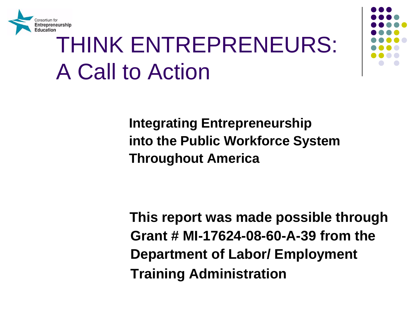

## THINK ENTREPRENEURS: A Call to Action



**Integrating Entrepreneurship into the Public Workforce System Throughout America** 

**This report was made possible through Grant # MI-17624-08-60-A-39 from the Department of Labor/ Employment Training Administration**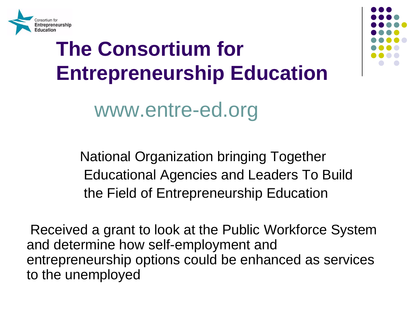

## **The Consortium for Entrepreneurship Education**

#### www.entre-ed.org

National Organization bringing Together Educational Agencies and Leaders To Build the Field of Entrepreneurship Education

Received a grant to look at the Public Workforce System and determine how self-employment and entrepreneurship options could be enhanced as services to the unemployed

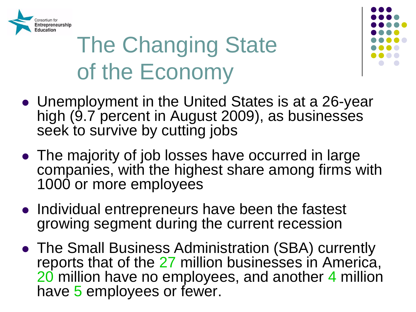

## The Changing State of the Economy



- seek to survive by cutting jobs Unemployment in the United States is at a 26-year high (9.7 percent in August 2009), as businesses
- companies, with the highest share among firms with • The majority of job losses have occurred in large 1000 or more employees
- Individual entrepreneurs have been the fastest growing segment during the current recession
- have 5 employees or fewer. The Small Business Administration (SBA) currently reports that of the 27 million businesses in America, 20 million have no employees, and another 4 million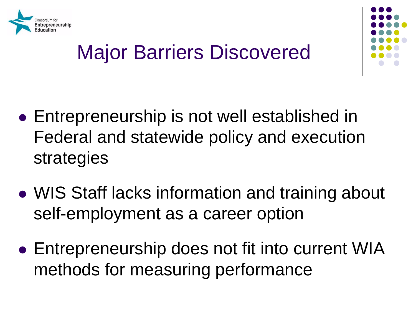



### Major Barriers Discovered

- Entrepreneurship is not well established in Federal and statewide policy and execution strategies
- WIS Staff lacks information and training about self-employment as a career option
- Entrepreneurship does not fit into current WIA methods for measuring performance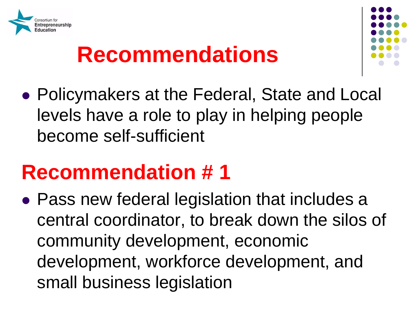



 Policymakers at the Federal, State and Local levels have a role to play in helping people become self-sufficient

#### **Recommendation # 1**

 Pass new federal legislation that includes a central coordinator, to break down the silos of community development, economic development, workforce development, and small business legislation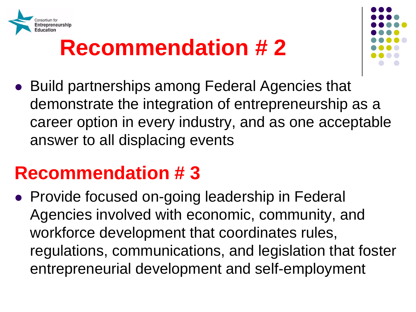



 demonstrate the integration of entrepreneurship as a answer to all displacing events Build partnerships among Federal Agencies that career option in every industry, and as one acceptable

#### **Recommendation # 3**

 Agencies involved with economic, community, and • Provide focused on-going leadership in Federal workforce development that coordinates rules, regulations, communications, and legislation that foster entrepreneurial development and self-employment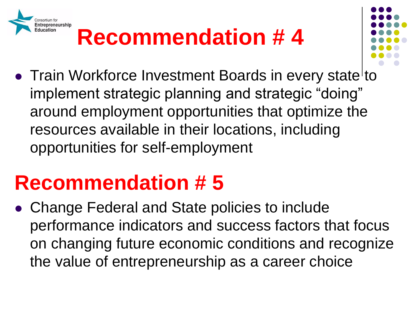

- 
- Train Workforce Investment Boards in every state to implement strategic planning and strategic "doing" around employment opportunities that optimize the resources available in their locations, including opportunities for self-employment

### **Recommendation # 5**

 Change Federal and State policies to include performance indicators and success factors that focus on changing future economic conditions and recognize the value of entrepreneurship as a career choice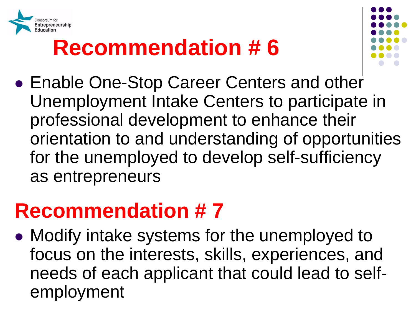



 Enable One-Stop Career Centers and other Unemployment Intake Centers to participate in professional development to enhance their orientation to and understanding of opportunities for the unemployed to develop self-sufficiency as entrepreneurs

#### **Recommendation # 7**

 needs of each applicant that could lead to self-• Modify intake systems for the unemployed to focus on the interests, skills, experiences, and employment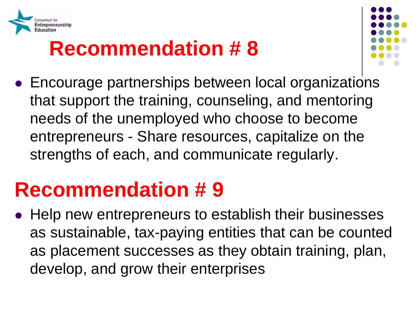



 needs of the unemployed who choose to become Encourage partnerships between local organizations that support the training, counseling, and mentoring entrepreneurs - Share resources, capitalize on the strengths of each, and communicate regularly.

#### **Recommendation # 9**

 as sustainable, tax-paying entities that can be counted • Help new entrepreneurs to establish their businesses as placement successes as they obtain training, plan, develop, and grow their enterprises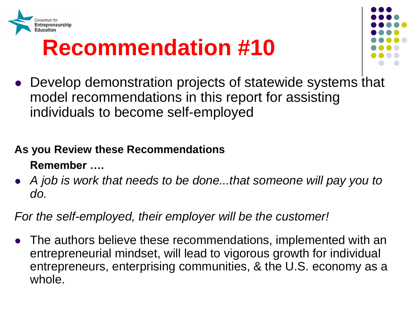



 individuals to become self-employed Develop demonstration projects of statewide systems that model recommendations in this report for assisting

#### **As you Review these Recommendations Remember ….**

 *A job is work that needs to be done...that someone will pay you to do.* 

#### *For the self-employed, their employer will be the customer!*

 The authors believe these recommendations, implemented with an entrepreneurs, enterprising communities, & the U.S. economy as a entrepreneurial mindset, will lead to vigorous growth for individual whole.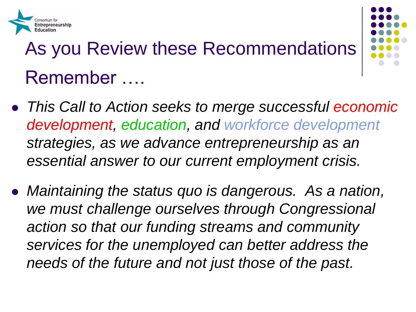

## As you Review these Recommendations Remember ….

- *This Call to Action seeks to merge successful economic development, education, and workforce development strategies, as we advance entrepreneurship as an essential answer to our current employment crisis.*
- *Maintaining the status quo is dangerous. As a nation,*  we must challenge ourselves through Congressional *action so that our funding streams and community services for the unemployed can better address the needs of the future and not just those of the past.*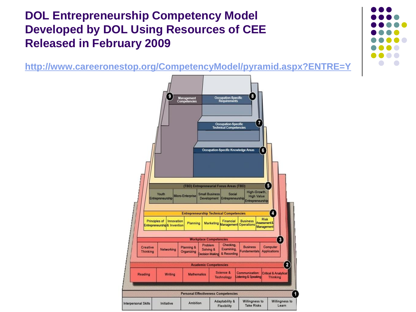#### **DOL Entrepreneurship Competency Model Released in February 2009 Developed by DOL Using Resources of CEE**

**Released in February 2009 <http://www.careeronestop.org/CompetencyModel/pyramid.aspx?ENTRE=Y>**